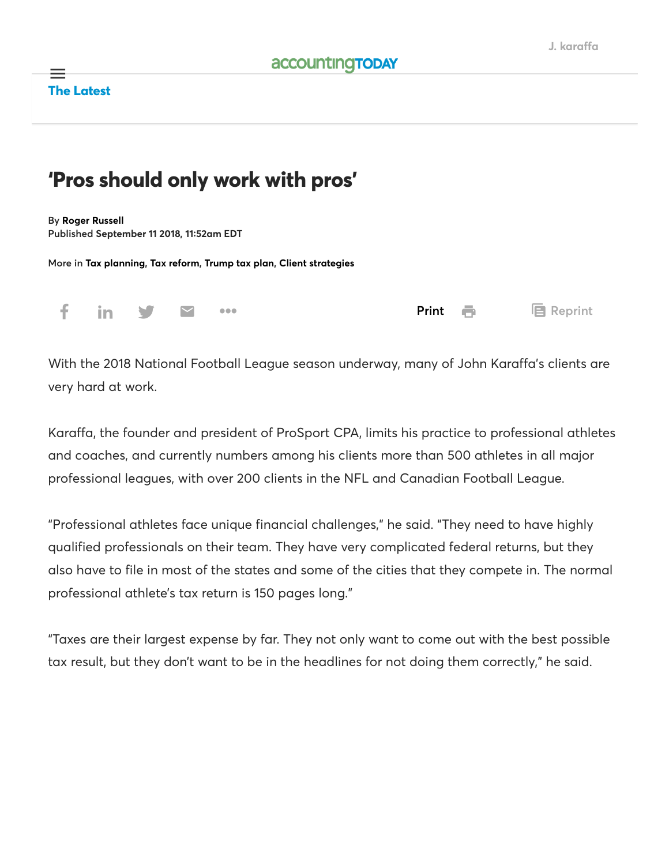### The Latest  $\equiv$

## 'Pros should only work with pros'

By [Roger Russell](https://www.accountingtoday.com/author/roger-russell) Published September 11 2018, 11∶52am EDT

More in [Tax planning](https://www.accountingtoday.com/tax-planning), [Tax reform,](https://www.accountingtoday.com/tag/tax-reform) [Trump tax plan,](https://www.accountingtoday.com/tag/tax-cuts-and-jobs-act) [Client strategies](https://www.accountingtoday.com/tag/client-strategies)

| f in y & |  |  | Print <b>再</b> 目 Reprint |
|----------|--|--|--------------------------|

With the 2018 National Football League season underway, many of John Karaffa's clients are very hard at work.

Karaffa, the founder and president of ProSport CPA, limits his practice to professional athletes and coaches, and currently numbers among his clients more than 500 athletes in all major professional leagues, with over 200 clients in the NFL and Canadian Football League.

"Professional athletes face unique financial challenges," he said. "They need to have highly qualified professionals on their team. They have very complicated federal returns, but they also have to file in most of the states and some of the cities that they compete in. The normal professional athlete's tax return is 150 pages long."

"Taxes are their largest expense by far. They not only want to come out with the best possible tax result, but they don't want to be in the headlines for not doing them correctly," he said.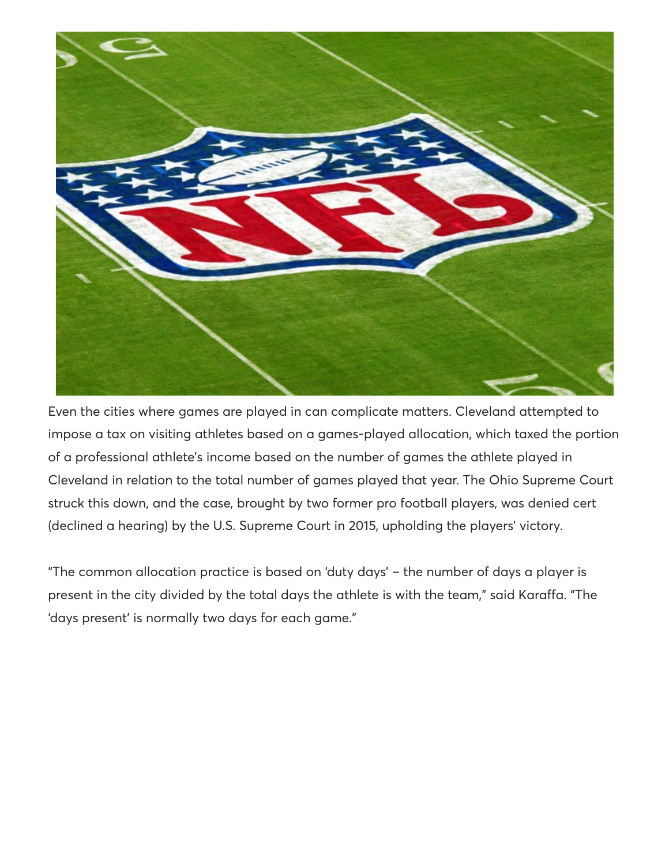

Even the cities where games are played in can complicate matters. Cleveland attempted to impose a tax on visiting athletes based on a games-played allocation, which taxed the portion of a professional athlete's income based on the number of games the athlete played in Cleveland in relation to the total number of games played that year. The Ohio Supreme Court struck this down, and the case, brought by two former pro football players, was denied cert (declined a hearing) by the U.S. Supreme Court in 2015, upholding the players' victory.

"The common allocation practice is based on 'duty days' – the number of days a player is present in the city divided by the total days the athlete is with the team," said Karaffa. "The 'days present' is normally two days for each game."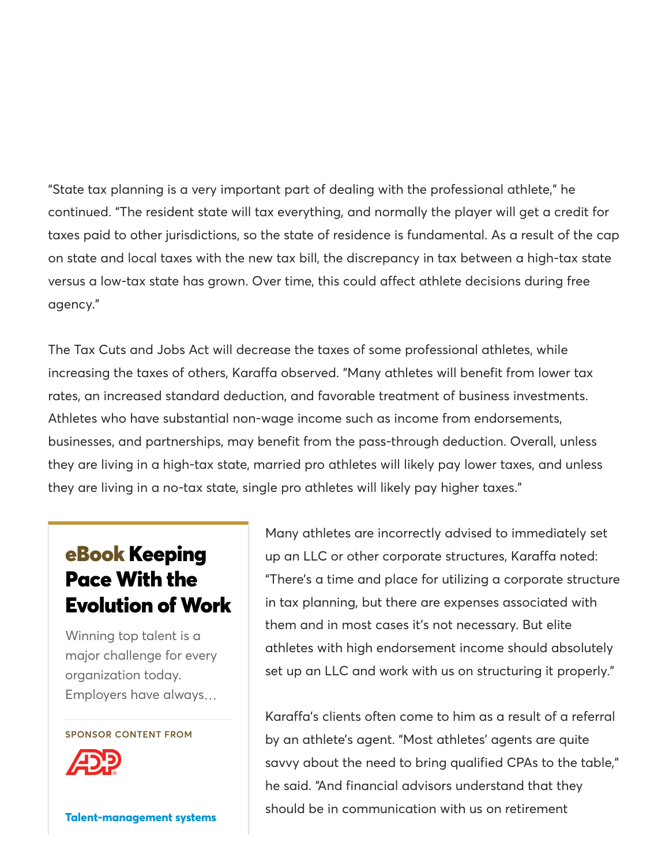"State tax planning is a very important part of dealing with the professional athlete," he continued. "The resident state will tax everything, and normally the player will get a credit for taxes paid to other jurisdictions, so the state of residence is fundamental. As a result of the cap on state and local taxes with the new tax bill, the discrepancy in tax between a high-tax state versus a low-tax state has grown. Over time, this could affect athlete decisions during free agency."

The Tax Cuts and Jobs Act will decrease the taxes of some professional athletes, while increasing the taxes of others, Karaffa observed. "Many athletes will benefit from lower tax rates, an increased standard deduction, and favorable treatment of business investments. Athletes who have substantial non-wage income such as income from endorsements, businesses, and partnerships, may benefit from the pass-through deduction. Overall, unless they are living in a high-tax state, married pro athletes will likely pay lower taxes, and unless they are living in a no-tax state, single pro athletes will likely pay higher taxes."

# eBook Keeping Pace With the [Evolution of Work](http://www.accountingtoday.com/whitepaper/keeping-pace-with-the-evolution-of-work)

Winning top talent is a major challenge for every organization today. Employers have always…

#### SPONSOR CONTENT FROM



[Talent-management systems](https://www.accountingtoday.com/talent-management-systems)

Many athletes are incorrectly advised to immediately set up an LLC or other corporate structures, Karaffa noted: "There's a time and place for utilizing a corporate structure in tax planning, but there are expenses associated with them and in most cases it's not necessary. But elite athletes with high endorsement income should absolutely set up an LLC and work with us on structuring it properly."

Karaffa's clients often come to him as a result of a referral by an athlete's agent. "Most athletes' agents are quite savvy about the need to bring qualified CPAs to the table," he said. "And financial advisors understand that they should be in communication with us on retirement